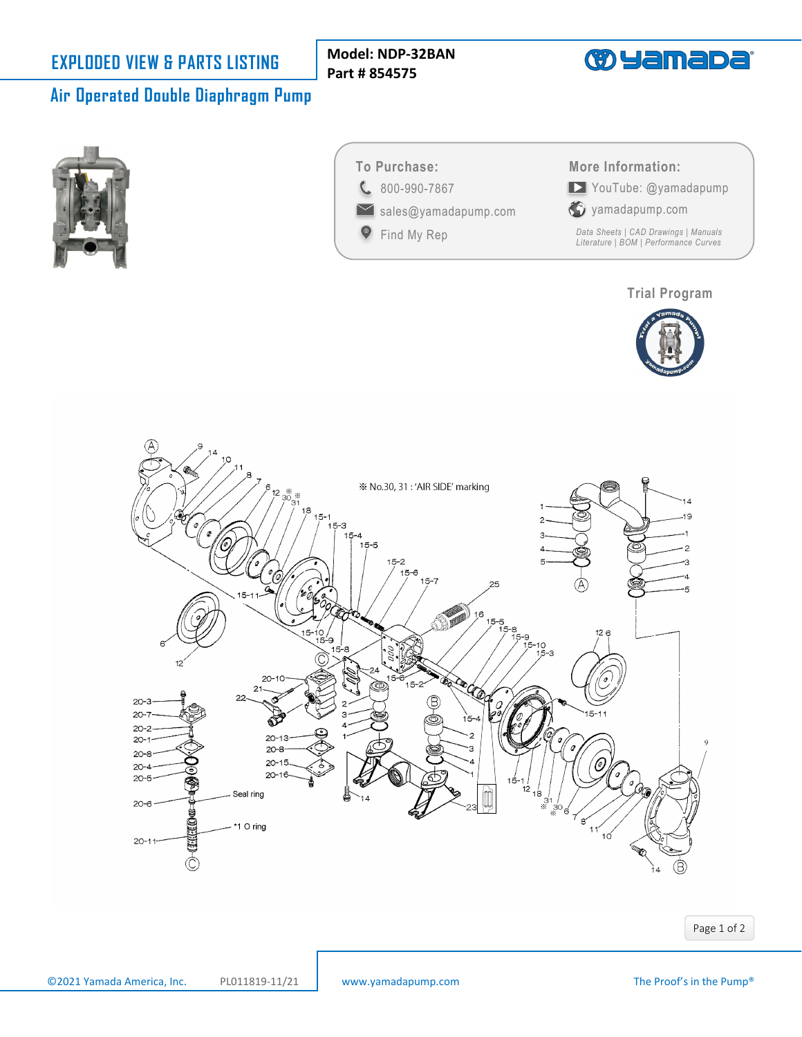# **EXPLODED VIEW & PARTS LISTING**

**Model: NDP-32BAN Part # 854575**



# **Air Operated Double Diaphragm Pump**





[800-990-7867](tel:8009907867)

[sales@yamadapump.com](mailto:sales@yamadapump.com)

**P** [Find My Rep](https://www.yamadapump.com/find-my-rep/)

**More Information:**

[YouTube: @yamadapump](https://youtube.com/yamadapump.com)

 $\bigcirc$  [yamadapump.com](https://www.yamadapump.com)

*[Data Sheets | CAD Drawings | Manuals](https://www.yamadapump.com/ndp-32-series/)  Literature | BOM | Performance Curves*

### **[Trial Program](https://www.yamadapump.com/trial-pump-program/)**





Page 1 of 2